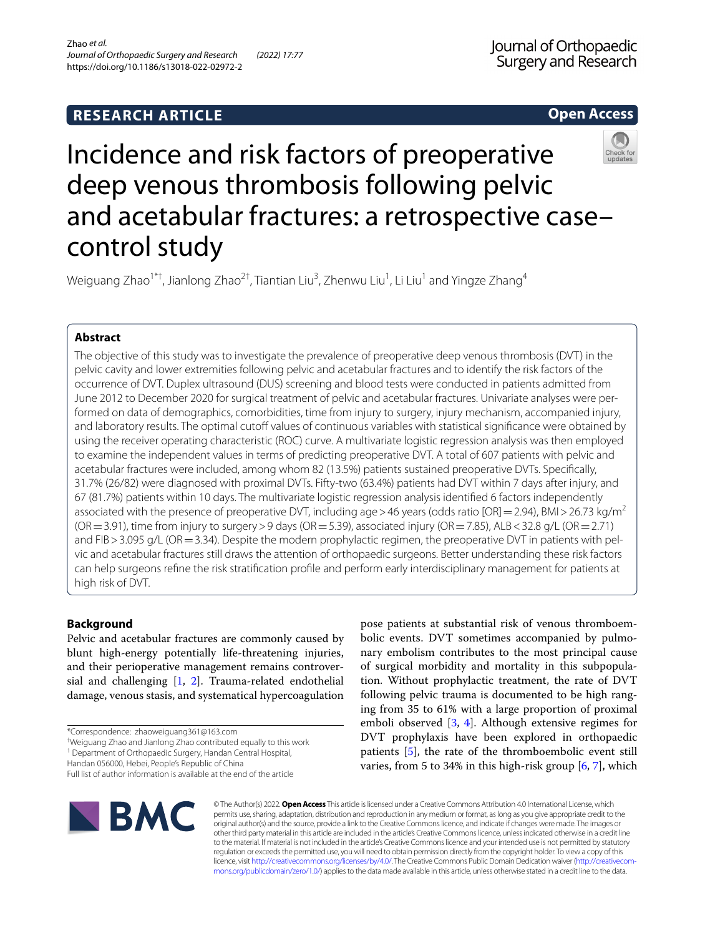# **RESEARCH ARTICLE**

**Open Access**

# Incidence and risk factors of preoperative deep venous thrombosis following pelvic and acetabular fractures: a retrospective case– control study

Weiguang Zhao $^{\text{1}\text{*}\text{+}}$ , Jianlong Zhao $^{2\text{+}}$ , Tiantian Liu $^3$ , Zhenwu Liu $^1$ , Li Liu $^1$  and Yingze Zhang $^4$ 

# **Abstract**

The objective of this study was to investigate the prevalence of preoperative deep venous thrombosis (DVT) in the pelvic cavity and lower extremities following pelvic and acetabular fractures and to identify the risk factors of the occurrence of DVT. Duplex ultrasound (DUS) screening and blood tests were conducted in patients admitted from June 2012 to December 2020 for surgical treatment of pelvic and acetabular fractures. Univariate analyses were performed on data of demographics, comorbidities, time from injury to surgery, injury mechanism, accompanied injury, and laboratory results. The optimal cutoff values of continuous variables with statistical significance were obtained by using the receiver operating characteristic (ROC) curve. A multivariate logistic regression analysis was then employed to examine the independent values in terms of predicting preoperative DVT. A total of 607 patients with pelvic and acetabular fractures were included, among whom 82 (13.5%) patients sustained preoperative DVTs. Specifcally, 31.7% (26/82) were diagnosed with proximal DVTs. Fifty-two (63.4%) patients had DVT within 7 days after injury, and 67 (81.7%) patients within 10 days. The multivariate logistic regression analysis identifed 6 factors independently associated with the presence of preoperative DVT, including age > 46 years (odds ratio [OR] = 2.94), BMI > 26.73 kg/m<sup>2</sup>  $(OR = 3.91)$ , time from injury to surgery > 9 days  $(OR = 5.39)$ , associated injury  $(OR = 7.85)$ , ALB < 32.8 g/L  $(OR = 2.71)$ and FIB > 3.095 g/L (OR = 3.34). Despite the modern prophylactic regimen, the preoperative DVT in patients with pelvic and acetabular fractures still draws the attention of orthopaedic surgeons. Better understanding these risk factors can help surgeons refne the risk stratifcation profle and perform early interdisciplinary management for patients at high risk of DVT.

# **Background**

Pelvic and acetabular fractures are commonly caused by blunt high-energy potentially life-threatening injuries, and their perioperative management remains controversial and challenging [[1](#page-7-0), [2](#page-7-1)]. Trauma-related endothelial damage, venous stasis, and systematical hypercoagulation

† Weiguang Zhao and Jianlong Zhao contributed equally to this work

<sup>1</sup> Department of Orthopaedic Surgery, Handan Central Hospital,

Handan 056000, Hebei, People's Republic of China

pose patients at substantial risk of venous thromboembolic events. DVT sometimes accompanied by pulmonary embolism contributes to the most principal cause of surgical morbidity and mortality in this subpopulation. Without prophylactic treatment, the rate of DVT following pelvic trauma is documented to be high ranging from 35 to 61% with a large proportion of proximal emboli observed [\[3](#page-7-2), [4](#page-7-3)]. Although extensive regimes for DVT prophylaxis have been explored in orthopaedic patients [\[5](#page-7-4)], the rate of the thromboembolic event still varies, from 5 to 34% in this high-risk group [\[6](#page-7-5), [7\]](#page-7-6), which



© The Author(s) 2022. **Open Access** This article is licensed under a Creative Commons Attribution 4.0 International License, which permits use, sharing, adaptation, distribution and reproduction in any medium or format, as long as you give appropriate credit to the original author(s) and the source, provide a link to the Creative Commons licence, and indicate if changes were made. The images or other third party material in this article are included in the article's Creative Commons licence, unless indicated otherwise in a credit line to the material. If material is not included in the article's Creative Commons licence and your intended use is not permitted by statutory regulation or exceeds the permitted use, you will need to obtain permission directly from the copyright holder. To view a copy of this licence, visit [http://creativecommons.org/licenses/by/4.0/.](http://creativecommons.org/licenses/by/4.0/) The Creative Commons Public Domain Dedication waiver ([http://creativecom](http://creativecommons.org/publicdomain/zero/1.0/)[mons.org/publicdomain/zero/1.0/\)](http://creativecommons.org/publicdomain/zero/1.0/) applies to the data made available in this article, unless otherwise stated in a credit line to the data.

<sup>\*</sup>Correspondence: zhaoweiguang361@163.com

Full list of author information is available at the end of the article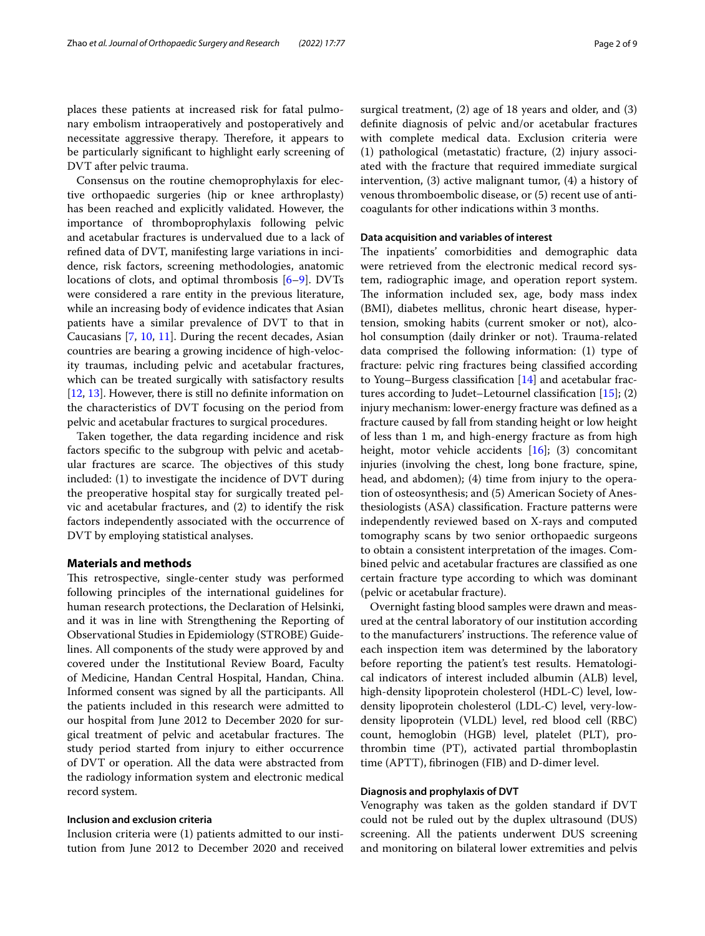places these patients at increased risk for fatal pulmonary embolism intraoperatively and postoperatively and necessitate aggressive therapy. Therefore, it appears to be particularly signifcant to highlight early screening of DVT after pelvic trauma.

Consensus on the routine chemoprophylaxis for elective orthopaedic surgeries (hip or knee arthroplasty) has been reached and explicitly validated. However, the importance of thromboprophylaxis following pelvic and acetabular fractures is undervalued due to a lack of refned data of DVT, manifesting large variations in incidence, risk factors, screening methodologies, anatomic locations of clots, and optimal thrombosis [[6–](#page-7-5)[9\]](#page-7-7). DVTs were considered a rare entity in the previous literature, while an increasing body of evidence indicates that Asian patients have a similar prevalence of DVT to that in Caucasians [[7,](#page-7-6) [10,](#page-7-8) [11\]](#page-7-9). During the recent decades, Asian countries are bearing a growing incidence of high-velocity traumas, including pelvic and acetabular fractures, which can be treated surgically with satisfactory results [[12,](#page-7-10) [13](#page-7-11)]. However, there is still no defnite information on the characteristics of DVT focusing on the period from pelvic and acetabular fractures to surgical procedures.

Taken together, the data regarding incidence and risk factors specifc to the subgroup with pelvic and acetabular fractures are scarce. The objectives of this study included: (1) to investigate the incidence of DVT during the preoperative hospital stay for surgically treated pelvic and acetabular fractures, and (2) to identify the risk factors independently associated with the occurrence of DVT by employing statistical analyses.

# **Materials and methods**

This retrospective, single-center study was performed following principles of the international guidelines for human research protections, the Declaration of Helsinki, and it was in line with Strengthening the Reporting of Observational Studies in Epidemiology (STROBE) Guidelines. All components of the study were approved by and covered under the Institutional Review Board, Faculty of Medicine, Handan Central Hospital, Handan, China. Informed consent was signed by all the participants. All the patients included in this research were admitted to our hospital from June 2012 to December 2020 for surgical treatment of pelvic and acetabular fractures. The study period started from injury to either occurrence of DVT or operation. All the data were abstracted from the radiology information system and electronic medical record system.

# **Inclusion and exclusion criteria**

Inclusion criteria were (1) patients admitted to our institution from June 2012 to December 2020 and received surgical treatment, (2) age of 18 years and older, and (3) defnite diagnosis of pelvic and/or acetabular fractures with complete medical data. Exclusion criteria were (1) pathological (metastatic) fracture, (2) injury associated with the fracture that required immediate surgical intervention, (3) active malignant tumor, (4) a history of venous thromboembolic disease, or (5) recent use of anticoagulants for other indications within 3 months.

# **Data acquisition and variables of interest**

The inpatients' comorbidities and demographic data were retrieved from the electronic medical record system, radiographic image, and operation report system. The information included sex, age, body mass index (BMI), diabetes mellitus, chronic heart disease, hypertension, smoking habits (current smoker or not), alcohol consumption (daily drinker or not). Trauma-related data comprised the following information: (1) type of fracture: pelvic ring fractures being classifed according to Young–Burgess classifcation [[14](#page-7-12)] and acetabular fractures according to Judet–Letournel classifcation [\[15](#page-7-13)]; (2) injury mechanism: lower-energy fracture was defned as a fracture caused by fall from standing height or low height of less than 1 m, and high-energy fracture as from high height, motor vehicle accidents [[16](#page-7-14)]; (3) concomitant injuries (involving the chest, long bone fracture, spine, head, and abdomen); (4) time from injury to the operation of osteosynthesis; and (5) American Society of Anesthesiologists (ASA) classifcation. Fracture patterns were independently reviewed based on X-rays and computed tomography scans by two senior orthopaedic surgeons to obtain a consistent interpretation of the images. Combined pelvic and acetabular fractures are classifed as one certain fracture type according to which was dominant (pelvic or acetabular fracture).

Overnight fasting blood samples were drawn and measured at the central laboratory of our institution according to the manufacturers' instructions. The reference value of each inspection item was determined by the laboratory before reporting the patient's test results. Hematological indicators of interest included albumin (ALB) level, high-density lipoprotein cholesterol (HDL-C) level, lowdensity lipoprotein cholesterol (LDL-C) level, very-lowdensity lipoprotein (VLDL) level, red blood cell (RBC) count, hemoglobin (HGB) level, platelet (PLT), prothrombin time (PT), activated partial thromboplastin time (APTT), fbrinogen (FIB) and D-dimer level.

# **Diagnosis and prophylaxis of DVT**

Venography was taken as the golden standard if DVT could not be ruled out by the duplex ultrasound (DUS) screening. All the patients underwent DUS screening and monitoring on bilateral lower extremities and pelvis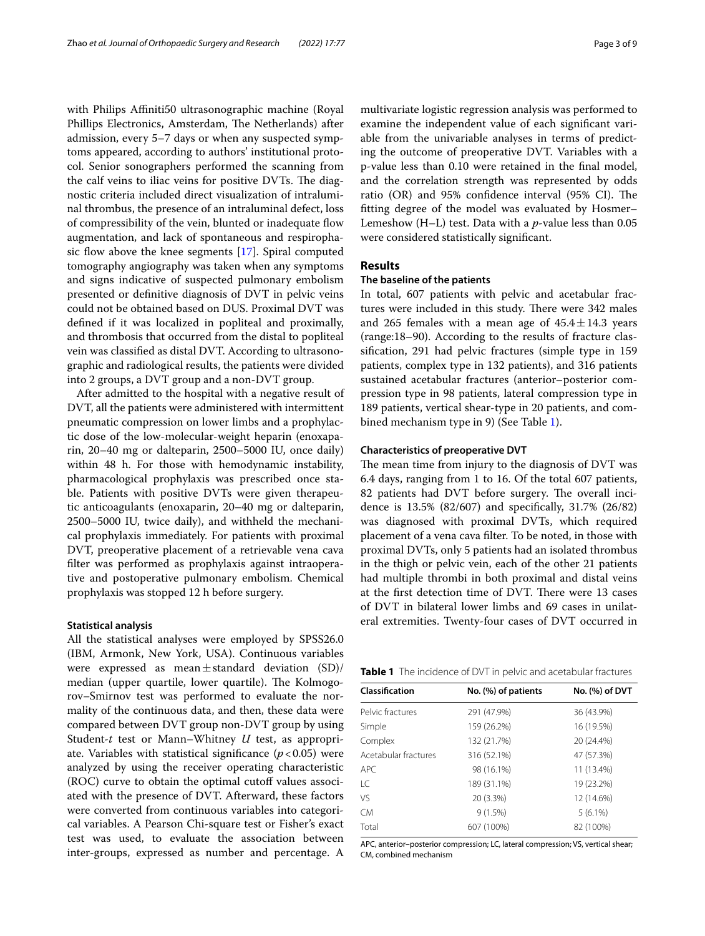with Philips Affiniti50 ultrasonographic machine (Royal Phillips Electronics, Amsterdam, The Netherlands) after admission, every 5–7 days or when any suspected symptoms appeared, according to authors' institutional protocol. Senior sonographers performed the scanning from the calf veins to iliac veins for positive DVTs. The diagnostic criteria included direct visualization of intraluminal thrombus, the presence of an intraluminal defect, loss of compressibility of the vein, blunted or inadequate fow augmentation, and lack of spontaneous and respirophasic flow above the knee segments  $[17]$  $[17]$ . Spiral computed tomography angiography was taken when any symptoms and signs indicative of suspected pulmonary embolism presented or defnitive diagnosis of DVT in pelvic veins could not be obtained based on DUS. Proximal DVT was defned if it was localized in popliteal and proximally, and thrombosis that occurred from the distal to popliteal vein was classifed as distal DVT. According to ultrasonographic and radiological results, the patients were divided into 2 groups, a DVT group and a non-DVT group.

After admitted to the hospital with a negative result of DVT, all the patients were administered with intermittent pneumatic compression on lower limbs and a prophylactic dose of the low-molecular-weight heparin (enoxaparin, 20–40 mg or dalteparin, 2500–5000 IU, once daily) within 48 h. For those with hemodynamic instability, pharmacological prophylaxis was prescribed once stable. Patients with positive DVTs were given therapeutic anticoagulants (enoxaparin, 20–40 mg or dalteparin, 2500–5000 IU, twice daily), and withheld the mechanical prophylaxis immediately. For patients with proximal DVT, preoperative placement of a retrievable vena cava flter was performed as prophylaxis against intraoperative and postoperative pulmonary embolism. Chemical prophylaxis was stopped 12 h before surgery.

# **Statistical analysis**

All the statistical analyses were employed by SPSS26.0 (IBM, Armonk, New York, USA). Continuous variables were expressed as mean $\pm$ standard deviation (SD)/ median (upper quartile, lower quartile). The Kolmogorov–Smirnov test was performed to evaluate the normality of the continuous data, and then, these data were compared between DVT group non-DVT group by using Student-*t* test or Mann–Whitney *U* test, as appropriate. Variables with statistical significance  $(p<0.05)$  were analyzed by using the receiver operating characteristic (ROC) curve to obtain the optimal cutoff values associated with the presence of DVT. Afterward, these factors were converted from continuous variables into categorical variables. A Pearson Chi-square test or Fisher's exact test was used, to evaluate the association between inter-groups, expressed as number and percentage. A multivariate logistic regression analysis was performed to examine the independent value of each signifcant variable from the univariable analyses in terms of predicting the outcome of preoperative DVT. Variables with a p-value less than 0.10 were retained in the fnal model, and the correlation strength was represented by odds ratio (OR) and 95% confidence interval (95% CI). The ftting degree of the model was evaluated by Hosmer– Lemeshow (H–L) test. Data with a *p*-value less than 0.05 were considered statistically signifcant.

# **Results**

# **The baseline of the patients**

In total, 607 patients with pelvic and acetabular fractures were included in this study. There were 342 males and 265 females with a mean age of  $45.4 \pm 14.3$  years (range:18–90). According to the results of fracture classifcation, 291 had pelvic fractures (simple type in 159 patients, complex type in 132 patients), and 316 patients sustained acetabular fractures (anterior–posterior compression type in 98 patients, lateral compression type in 189 patients, vertical shear-type in 20 patients, and combined mechanism type in 9) (See Table [1\)](#page-2-0).

# **Characteristics of preoperative DVT**

The mean time from injury to the diagnosis of DVT was 6.4 days, ranging from 1 to 16. Of the total 607 patients, 82 patients had DVT before surgery. The overall incidence is 13.5% (82/607) and specifcally, 31.7% (26/82) was diagnosed with proximal DVTs, which required placement of a vena cava flter. To be noted, in those with proximal DVTs, only 5 patients had an isolated thrombus in the thigh or pelvic vein, each of the other 21 patients had multiple thrombi in both proximal and distal veins at the first detection time of DVT. There were 13 cases of DVT in bilateral lower limbs and 69 cases in unilateral extremities. Twenty-four cases of DVT occurred in

<span id="page-2-0"></span>

| Classification       | No. (%) of patients | No. (%) of DVT |
|----------------------|---------------------|----------------|
| Pelvic fractures     | 291 (47.9%)         | 36 (43.9%)     |
| Simple               | 159 (26.2%)         | 16 (19.5%)     |
| Complex              | 132 (21.7%)         | 20 (24.4%)     |
| Acetabular fractures | 316 (52.1%)         | 47 (57.3%)     |
| APC                  | 98 (16.1%)          | 11 (13.4%)     |
| LC                   | 189 (31.1%)         | 19 (23.2%)     |
| VS                   | 20 (3.3%)           | 12 (14.6%)     |
| СM                   | $9(1.5\%)$          | $5(6.1\%)$     |
| Total                | 607 (100%)          | 82 (100%)      |
|                      |                     |                |

APC, anterior–posterior compression; LC, lateral compression; VS, vertical shear; CM, combined mechanism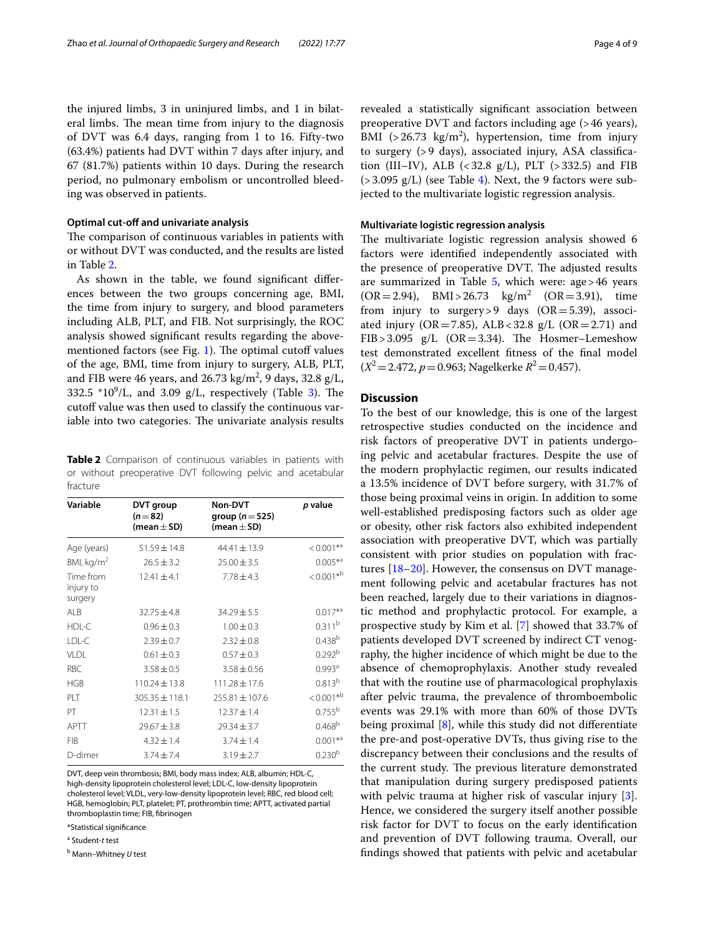the injured limbs, 3 in uninjured limbs, and 1 in bilateral limbs. The mean time from injury to the diagnosis of DVT was 6.4 days, ranging from 1 to 16. Fifty-two (63.4%) patients had DVT within 7 days after injury, and 67 (81.7%) patients within 10 days. During the research period, no pulmonary embolism or uncontrolled bleeding was observed in patients.

#### **Optimal cut‑of and univariate analysis**

The comparison of continuous variables in patients with or without DVT was conducted, and the results are listed in Table [2](#page-3-0).

As shown in the table, we found signifcant diferences between the two groups concerning age, BMI, the time from injury to surgery, and blood parameters including ALB, PLT, and FIB. Not surprisingly, the ROC analysis showed signifcant results regarding the above-mentioned factors (see Fig. [1\)](#page-4-0). The optimal cutoff values of the age, BMI, time from injury to surgery, ALB, PLT, and FIB were 46 years, and 26.73 kg/m<sup>2</sup>, 9 days, 32.8 g/L, [3](#page-4-1)32.5  $*10^9$ /L, and 3.09 g/L, respectively (Table 3). The cutoff value was then used to classify the continuous variable into two categories. The univariate analysis results

<span id="page-3-0"></span>**Table 2** Comparison of continuous variables in patients with or without preoperative DVT following pelvic and acetabular fracture

| Variable                          | DVT group<br>$(n=82)$<br>(mean $\pm$ SD) | <b>Non-DVT</b><br>group ( $n = 525$ )<br>(mean $\pm$ SD) | p value                  |
|-----------------------------------|------------------------------------------|----------------------------------------------------------|--------------------------|
| Age (years)                       | $51.59 \pm 14.8$                         | $44.41 \pm 13.9$                                         | $< 0.001$ * <sup>a</sup> |
| BMI, kg/m <sup>2</sup>            | $26.5 \pm 3.2$                           | $25.00 \pm 3.5$                                          | $0.005**a$               |
| Time from<br>injury to<br>surgery | $12.41 \pm 4.1$                          | $7.78 \pm 4.3$                                           | $< 0.001 * b$            |
| ALB                               | $32.75 \pm 4.8$                          | $34.29 \pm 5.5$                                          | $0.017^{*a}$             |
| HDL-C                             | $0.96 \pm 0.3$                           | $1.00 \pm 0.3$                                           | $0.311^{b}$              |
| LDL-C                             | $2.39 \pm 0.7$                           | $2.32 \pm 0.8$                                           | $0.438^{b}$              |
| VLDL                              | $0.61 \pm 0.3$                           | $0.57 \pm 0.3$                                           | 0.292 <sup>b</sup>       |
| <b>RBC</b>                        | $3.58 \pm 0.5$                           | $3.58 \pm 0.56$                                          | 0.993 <sup>a</sup>       |
| <b>HGB</b>                        | $110.24 \pm 13.8$                        | $111.28 \pm 17.6$                                        | $0.813^{b}$              |
| PLT                               | $305.35 \pm 118.1$                       | $255.81 \pm 107.6$                                       | $< 0.001 * b$            |
| PT                                | $12.31 \pm 1.5$                          | $12.37 \pm 1.4$                                          | 0.755 <sup>b</sup>       |
| APTT                              | $29.67 \pm 3.8$                          | $29.34 \pm 3.7$                                          | 0.468 <sup>b</sup>       |
| <b>FIB</b>                        | $4.32 \pm 1.4$                           | $3.74 \pm 1.4$                                           | $0.001**a$               |
| D-dimer                           | $3.74 \pm 7.4$                           | $3.19 \pm 2.7$                                           | 0.230 <sup>b</sup>       |

DVT, deep vein thrombosis; BMI, body mass index; ALB, albumin; HDL-C, high-density lipoprotein cholesterol level; LDL-C, low-density lipoprotein cholesterol level; VLDL, very-low-density lipoprotein level; RBC, red blood cell; HGB, hemoglobin; PLT, platelet; PT, prothrombin time; APTT, activated partial thromboplastin time; FIB, fbrinogen

\*Statistical signifcance

a Student-*t* test

b Mann–Whitney *U* test

revealed a statistically signifcant association between preoperative DVT and factors including age (>46 years), BMI  $(>26.73 \text{ kg/m}^2)$ , hypertension, time from injury to surgery (>9 days), associated injury, ASA classifcation (III–IV), ALB  $(< 32.8 \text{ g/L})$ , PLT  $(> 332.5)$  and FIB  $(>3.095 \text{ g/L})$  (see Table [4](#page-5-0)). Next, the 9 factors were subjected to the multivariate logistic regression analysis.

# **Multivariate logistic regression analysis**

The multivariate logistic regression analysis showed 6 factors were identifed independently associated with the presence of preoperative DVT. The adjusted results are summarized in Table  $5$ , which were: age > 46 years  $(OR = 2.94)$ , BMI > 26.73  $kg/m<sup>2</sup>$  $(OR = 3.91)$ , time from injury to surgery > 9 days  $(OR = 5.39)$ , associated injury (OR=7.85), ALB<32.8  $g/L$  (OR=2.71) and FIB > 3.095  $g/L$  (OR = 3.34). The Hosmer–Lemeshow test demonstrated excellent ftness of the fnal model  $(X^2 = 2.472, p = 0.963;$  Nagelkerke  $R^2 = 0.457$ .

# **Discussion**

To the best of our knowledge, this is one of the largest retrospective studies conducted on the incidence and risk factors of preoperative DVT in patients undergoing pelvic and acetabular fractures. Despite the use of the modern prophylactic regimen, our results indicated a 13.5% incidence of DVT before surgery, with 31.7% of those being proximal veins in origin. In addition to some well-established predisposing factors such as older age or obesity, other risk factors also exhibited independent association with preoperative DVT, which was partially consistent with prior studies on population with fractures [\[18–](#page-7-16)[20\]](#page-8-0). However, the consensus on DVT management following pelvic and acetabular fractures has not been reached, largely due to their variations in diagnostic method and prophylactic protocol. For example, a prospective study by Kim et al. [\[7](#page-7-6)] showed that 33.7% of patients developed DVT screened by indirect CT venography, the higher incidence of which might be due to the absence of chemoprophylaxis. Another study revealed that with the routine use of pharmacological prophylaxis after pelvic trauma, the prevalence of thromboembolic events was 29.1% with more than 60% of those DVTs being proximal  $[8]$  $[8]$ , while this study did not differentiate the pre-and post-operative DVTs, thus giving rise to the discrepancy between their conclusions and the results of the current study. The previous literature demonstrated that manipulation during surgery predisposed patients with pelvic trauma at higher risk of vascular injury [\[3](#page-7-2)]. Hence, we considered the surgery itself another possible risk factor for DVT to focus on the early identifcation and prevention of DVT following trauma. Overall, our fndings showed that patients with pelvic and acetabular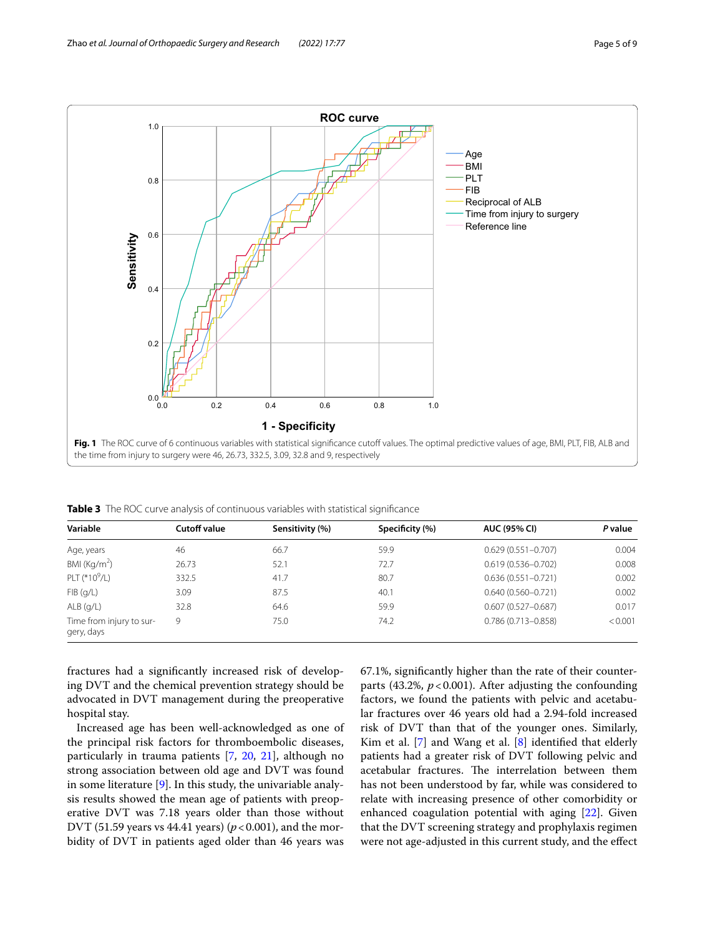

<span id="page-4-1"></span><span id="page-4-0"></span>**Table 3** The ROC curve analysis of continuous variables with statistical signifcance

| Variable                               | Cutoff value | Sensitivity (%) | Specificity (%) | <b>AUC (95% CI)</b>    | P value |
|----------------------------------------|--------------|-----------------|-----------------|------------------------|---------|
| Age, years                             | 46           | 66.7            | 59.9            | $0.629(0.551 - 0.707)$ | 0.004   |
| BMI ( $\text{Kg/m}^2$ )                | 26.73        | 52.1            | 72.7            | $0.619(0.536 - 0.702)$ | 0.008   |
| PLT (*10 $^9$ /L)                      | 332.5        | 41.7            | 80.7            | $0.636(0.551 - 0.721)$ | 0.002   |
| FIB(q/L)                               | 3.09         | 87.5            | 40.1            | $0.640(0.560 - 0.721)$ | 0.002   |
| $ALB$ (g/L)                            | 32.8         | 64.6            | 59.9            | $0.607(0.527 - 0.687)$ | 0.017   |
| Time from injury to sur-<br>gery, days | 9            | 75.0            | 74.2            | $0.786(0.713 - 0.858)$ | < 0.001 |

fractures had a signifcantly increased risk of developing DVT and the chemical prevention strategy should be advocated in DVT management during the preoperative hospital stay.

Increased age has been well-acknowledged as one of the principal risk factors for thromboembolic diseases, particularly in trauma patients [\[7](#page-7-6), [20](#page-8-0), [21](#page-8-1)], although no strong association between old age and DVT was found in some literature  $[9]$  $[9]$ . In this study, the univariable analysis results showed the mean age of patients with preoperative DVT was 7.18 years older than those without DVT (51.59 years vs 44.41 years) ( $p$  < 0.001), and the morbidity of DVT in patients aged older than 46 years was 67.1%, signifcantly higher than the rate of their counterparts  $(43.2\%, p<0.001)$ . After adjusting the confounding factors, we found the patients with pelvic and acetabular fractures over 46 years old had a 2.94-fold increased risk of DVT than that of the younger ones. Similarly, Kim et al.  $[7]$  $[7]$  and Wang et al.  $[8]$  $[8]$  $[8]$  identified that elderly patients had a greater risk of DVT following pelvic and acetabular fractures. The interrelation between them has not been understood by far, while was considered to relate with increasing presence of other comorbidity or enhanced coagulation potential with aging [\[22](#page-8-2)]. Given that the DVT screening strategy and prophylaxis regimen were not age-adjusted in this current study, and the efect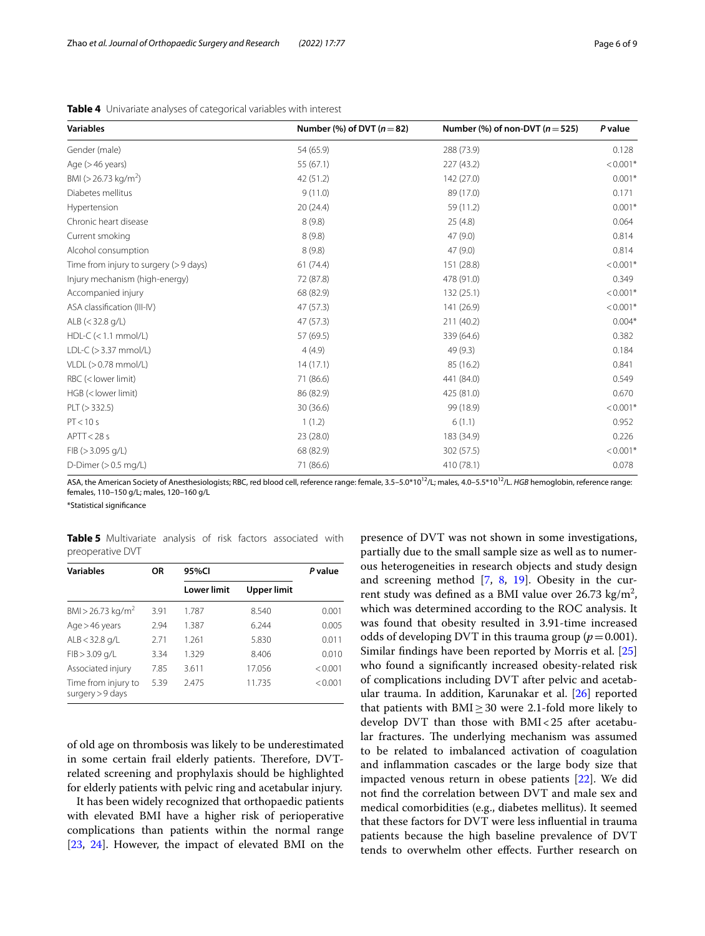| <b>Variables</b>                       | Number (%) of DVT $(n=82)$ | Number (%) of non-DVT ( $n = 525$ ) | P value    |
|----------------------------------------|----------------------------|-------------------------------------|------------|
| Gender (male)                          | 54 (65.9)                  | 288 (73.9)                          | 0.128      |
| Age $($ >46 years)                     | 55 (67.1)                  | 227 (43.2)                          | $< 0.001*$ |
| BMI ( $>$ 26.73 kg/m <sup>2</sup> )    | 42 (51.2)                  | 142 (27.0)                          | $0.001*$   |
| Diabetes mellitus                      | 9(11.0)                    | 89 (17.0)                           | 0.171      |
| Hypertension                           | 20(24.4)                   | 59 (11.2)                           | $0.001*$   |
| Chronic heart disease                  | 8(9.8)                     | 25(4.8)                             | 0.064      |
| Current smoking                        | 8(9.8)                     | 47(9.0)                             | 0.814      |
| Alcohol consumption                    | 8(9.8)                     | 47(9.0)                             | 0.814      |
| Time from injury to surgery (> 9 days) | 61(74.4)                   | 151 (28.8)                          | $< 0.001*$ |
| Injury mechanism (high-energy)         | 72 (87.8)                  | 478 (91.0)                          | 0.349      |
| Accompanied injury                     | 68 (82.9)                  | 132(25.1)                           | $< 0.001*$ |
| ASA classification (III-IV)            | 47 (57.3)                  | 141 (26.9)                          | $< 0.001*$ |
| ALB $(<$ 32.8 g/L)                     | 47 (57.3)                  | 211 (40.2)                          | $0.004*$   |
| $HDL-C$ (< 1.1 mmol/L)                 | 57 (69.5)                  | 339 (64.6)                          | 0.382      |
| LDL-C $(>3.37$ mmol/L)                 | 4(4.9)                     | 49 (9.3)                            | 0.184      |
| $VLDL (> 0.78$ mmol/L)                 | 14(17.1)                   | 85 (16.2)                           | 0.841      |
| RBC (< lower limit)                    | 71 (86.6)                  | 441 (84.0)                          | 0.549      |
| HGB (< lower limit)                    | 86 (82.9)                  | 425 (81.0)                          | 0.670      |
| PLT (> 332.5)                          | 30 (36.6)                  | 99 (18.9)                           | $< 0.001*$ |
| PT < 10 s                              | 1(1.2)                     | 6(1.1)                              | 0.952      |
| APTT < 28s                             | 23 (28.0)                  | 183 (34.9)                          | 0.226      |
| $FIB$ ( $>$ 3.095 g/L)                 | 68 (82.9)                  | 302 (57.5)                          | $< 0.001*$ |
| D-Dimer $(>0.5$ mg/L)                  | 71 (86.6)                  | 410 (78.1)                          | 0.078      |

<span id="page-5-0"></span>**Table 4** Univariate analyses of categorical variables with interest

ASA, the American Society of Anesthesiologists; RBC, red blood cell, reference range: female, 3.5-5.0\*10<sup>12</sup>/L; males, 4.0-5.5\*10<sup>12</sup>/L. *HGB* hemoglobin, reference range: females, 110–150 g/L; males, 120–160 g/L

\*Statistical signifcance

<span id="page-5-1"></span>**Table 5** Multivariate analysis of risk factors associated with preoperative DVT

| <b>Variables</b>                          | ΟR   | 95%CI              |             | P value |
|-------------------------------------------|------|--------------------|-------------|---------|
|                                           |      | <b>Lower limit</b> | Upper limit |         |
| BMI > 26.73 kg/m <sup>2</sup>             | 3.91 | 1.787              | 8.540       | 0.001   |
| $Age > 46$ years                          | 2.94 | 1.387              | 6.244       | 0.005   |
| $ALB < 32.8$ g/L                          | 2.71 | 1.261              | 5.830       | 0.011   |
| $FIB > 3.09$ g/L                          | 3.34 | 1.329              | 8.406       | 0.010   |
| Associated injury                         | 7.85 | 3.611              | 17.056      | < 0.001 |
| Time from injury to<br>surgery $> 9$ days | 5.39 | 2.475              | 11.735      | < 0.001 |

of old age on thrombosis was likely to be underestimated in some certain frail elderly patients. Therefore, DVTrelated screening and prophylaxis should be highlighted for elderly patients with pelvic ring and acetabular injury.

It has been widely recognized that orthopaedic patients with elevated BMI have a higher risk of perioperative complications than patients within the normal range [[23,](#page-8-3) [24](#page-8-4)]. However, the impact of elevated BMI on the

presence of DVT was not shown in some investigations, partially due to the small sample size as well as to numerous heterogeneities in research objects and study design and screening method [\[7](#page-7-6), [8](#page-7-17), [19](#page-8-5)]. Obesity in the current study was defined as a BMI value over  $26.73 \text{ kg/m}^2$ , which was determined according to the ROC analysis. It was found that obesity resulted in 3.91-time increased odds of developing DVT in this trauma group ( $p=0.001$ ). Similar fndings have been reported by Morris et al. [[25](#page-8-6)] who found a signifcantly increased obesity-related risk of complications including DVT after pelvic and acetabular trauma. In addition, Karunakar et al. [\[26](#page-8-7)] reported that patients with  $BMI \geq 30$  were 2.1-fold more likely to develop DVT than those with BMI<25 after acetabular fractures. The underlying mechanism was assumed to be related to imbalanced activation of coagulation and infammation cascades or the large body size that impacted venous return in obese patients [\[22](#page-8-2)]. We did not fnd the correlation between DVT and male sex and medical comorbidities (e.g., diabetes mellitus). It seemed that these factors for DVT were less infuential in trauma patients because the high baseline prevalence of DVT tends to overwhelm other efects. Further research on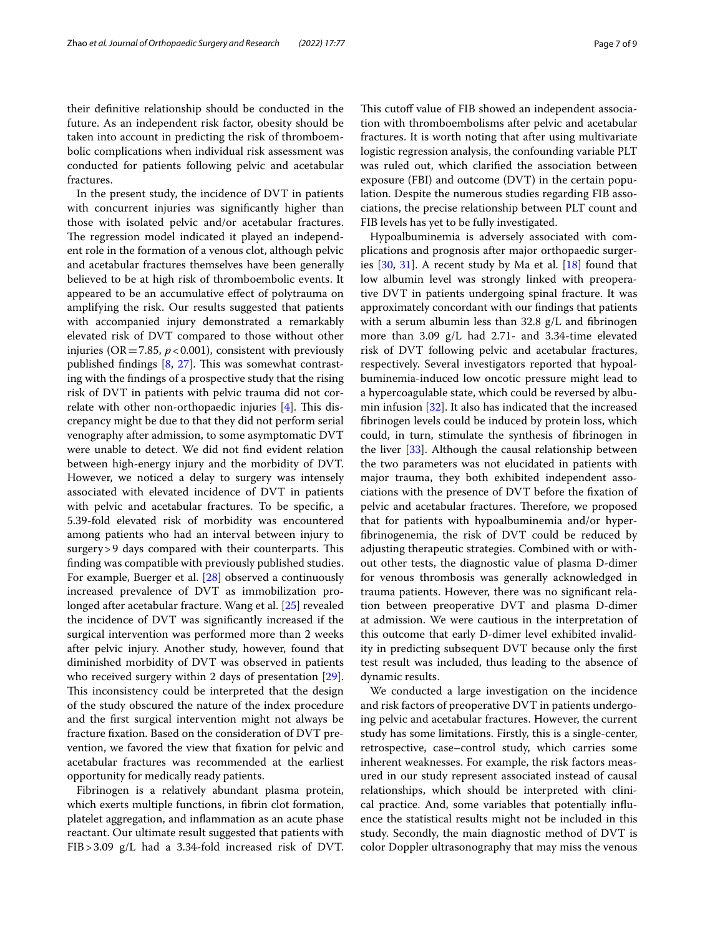their defnitive relationship should be conducted in the future. As an independent risk factor, obesity should be taken into account in predicting the risk of thromboembolic complications when individual risk assessment was conducted for patients following pelvic and acetabular fractures.

In the present study, the incidence of DVT in patients with concurrent injuries was signifcantly higher than those with isolated pelvic and/or acetabular fractures. The regression model indicated it played an independent role in the formation of a venous clot, although pelvic and acetabular fractures themselves have been generally believed to be at high risk of thromboembolic events. It appeared to be an accumulative efect of polytrauma on amplifying the risk. Our results suggested that patients with accompanied injury demonstrated a remarkably elevated risk of DVT compared to those without other injuries ( $OR = 7.85$ ,  $p < 0.001$ ), consistent with previously published findings  $[8, 27]$  $[8, 27]$  $[8, 27]$  $[8, 27]$ . This was somewhat contrasting with the fndings of a prospective study that the rising risk of DVT in patients with pelvic trauma did not correlate with other non-orthopaedic injuries  $[4]$  $[4]$ . This discrepancy might be due to that they did not perform serial venography after admission, to some asymptomatic DVT were unable to detect. We did not fnd evident relation between high-energy injury and the morbidity of DVT. However, we noticed a delay to surgery was intensely associated with elevated incidence of DVT in patients with pelvic and acetabular fractures. To be specifc, a 5.39-fold elevated risk of morbidity was encountered among patients who had an interval between injury to surgery > 9 days compared with their counterparts. This fnding was compatible with previously published studies. For example, Buerger et al. [\[28\]](#page-8-9) observed a continuously increased prevalence of DVT as immobilization prolonged after acetabular fracture. Wang et al. [[25\]](#page-8-6) revealed the incidence of DVT was signifcantly increased if the surgical intervention was performed more than 2 weeks after pelvic injury. Another study, however, found that diminished morbidity of DVT was observed in patients who received surgery within 2 days of presentation [\[29](#page-8-10)]. This inconsistency could be interpreted that the design of the study obscured the nature of the index procedure and the frst surgical intervention might not always be fracture fxation. Based on the consideration of DVT prevention, we favored the view that fxation for pelvic and acetabular fractures was recommended at the earliest opportunity for medically ready patients.

Fibrinogen is a relatively abundant plasma protein, which exerts multiple functions, in fibrin clot formation, platelet aggregation, and infammation as an acute phase reactant. Our ultimate result suggested that patients with FIB>3.09 g/L had a 3.34-fold increased risk of DVT.

This cutoff value of FIB showed an independent association with thromboembolisms after pelvic and acetabular fractures. It is worth noting that after using multivariate logistic regression analysis, the confounding variable PLT was ruled out, which clarifed the association between exposure (FBI) and outcome (DVT) in the certain population. Despite the numerous studies regarding FIB associations, the precise relationship between PLT count and FIB levels has yet to be fully investigated.

Hypoalbuminemia is adversely associated with complications and prognosis after major orthopaedic surgeries [\[30](#page-8-11), [31\]](#page-8-12). A recent study by Ma et al. [\[18](#page-7-16)] found that low albumin level was strongly linked with preoperative DVT in patients undergoing spinal fracture. It was approximately concordant with our fndings that patients with a serum albumin less than  $32.8 \text{ g/L}$  and fibrinogen more than 3.09 g/L had 2.71- and 3.34-time elevated risk of DVT following pelvic and acetabular fractures, respectively. Several investigators reported that hypoalbuminemia-induced low oncotic pressure might lead to a hypercoagulable state, which could be reversed by albumin infusion [[32\]](#page-8-13). It also has indicated that the increased fbrinogen levels could be induced by protein loss, which could, in turn, stimulate the synthesis of fbrinogen in the liver [[33\]](#page-8-14). Although the causal relationship between the two parameters was not elucidated in patients with major trauma, they both exhibited independent associations with the presence of DVT before the fxation of pelvic and acetabular fractures. Therefore, we proposed that for patients with hypoalbuminemia and/or hyperfbrinogenemia, the risk of DVT could be reduced by adjusting therapeutic strategies. Combined with or without other tests, the diagnostic value of plasma D-dimer for venous thrombosis was generally acknowledged in trauma patients. However, there was no signifcant relation between preoperative DVT and plasma D-dimer at admission. We were cautious in the interpretation of this outcome that early D-dimer level exhibited invalidity in predicting subsequent DVT because only the frst test result was included, thus leading to the absence of dynamic results.

We conducted a large investigation on the incidence and risk factors of preoperative DVT in patients undergoing pelvic and acetabular fractures. However, the current study has some limitations. Firstly, this is a single-center, retrospective, case–control study, which carries some inherent weaknesses. For example, the risk factors measured in our study represent associated instead of causal relationships, which should be interpreted with clinical practice. And, some variables that potentially infuence the statistical results might not be included in this study. Secondly, the main diagnostic method of DVT is color Doppler ultrasonography that may miss the venous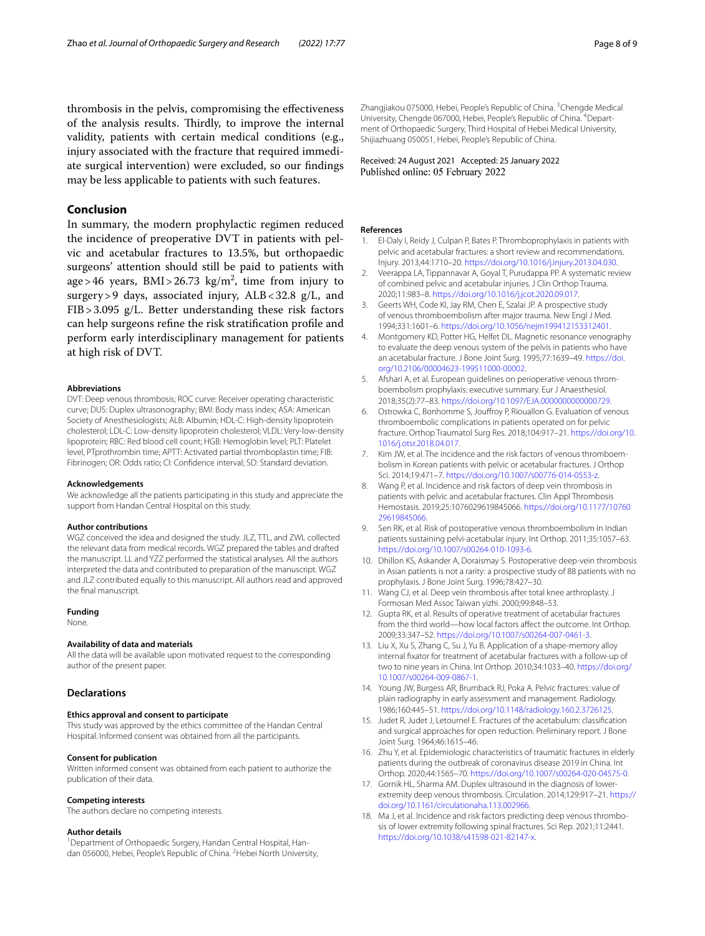thrombosis in the pelvis, compromising the efectiveness of the analysis results. Thirdly, to improve the internal validity, patients with certain medical conditions (e.g., injury associated with the fracture that required immediate surgical intervention) were excluded, so our fndings may be less applicable to patients with such features.

# **Conclusion**

In summary, the modern prophylactic regimen reduced the incidence of preoperative DVT in patients with pelvic and acetabular fractures to 13.5%, but orthopaedic surgeons' attention should still be paid to patients with age>46 years,  $BMI > 26.73$  kg/m<sup>2</sup>, time from injury to surgery > 9 days, associated injury, ALB < 32.8 g/L, and FIB>3.095 g/L. Better understanding these risk factors can help surgeons refne the risk stratifcation profle and perform early interdisciplinary management for patients at high risk of DVT.

#### **Abbreviations**

DVT: Deep venous thrombosis; ROC curve: Receiver operating characteristic curve; DUS: Duplex ultrasonography; BMI: Body mass index; ASA: American Society of Anesthesiologists; ALB: Albumin; HDL-C: High-density lipoprotein cholesterol; LDL-C: Low-density lipoprotein cholesterol; VLDL: Very-low-density lipoprotein; RBC: Red blood cell count; HGB: Hemoglobin level; PLT: Platelet level, PTprothrombin time; APTT: Activated partial thromboplastin time; FIB: Fibrinogen; OR: Odds ratio; CI: Confdence interval; SD: Standard deviation.

#### **Acknowledgements**

We acknowledge all the patients participating in this study and appreciate the support from Handan Central Hospital on this study.

#### **Author contributions**

WGZ conceived the idea and designed the study. JLZ, TTL, and ZWL collected the relevant data from medical records. WGZ prepared the tables and drafted the manuscript. LL and YZZ performed the statistical analyses. All the authors interpreted the data and contributed to preparation of the manuscript. WGZ and JLZ contributed equally to this manuscript. All authors read and approved the fnal manuscript.

# **Funding**

None.

# **Availability of data and materials**

All the data will be available upon motivated request to the corresponding author of the present paper.

#### **Declarations**

# **Ethics approval and consent to participate**

This study was approved by the ethics committee of the Handan Central Hospital. Informed consent was obtained from all the participants.

#### **Consent for publication**

Written informed consent was obtained from each patient to authorize the publication of their data.

#### **Competing interests**

The authors declare no competing interests.

#### **Author details**

<sup>1</sup> Department of Orthopaedic Surgery, Handan Central Hospital, Handan 056000, Hebei, People's Republic of China. <sup>2</sup> Hebei North University,

Zhangjiakou 075000, Hebei, People's Republic of China. <sup>3</sup>Chengde Medical University, Chengde 067000, Hebei, People's Republic of China. <sup>4</sup> Department of Orthopaedic Surgery, Third Hospital of Hebei Medical University, Shijiazhuang 050051, Hebei, People's Republic of China.

Received: 24 August 2021 Accepted: 25 January 2022 Published online: 05 February 2022

#### **References**

- <span id="page-7-0"></span>1. El-Daly I, Reidy J, Culpan P, Bates P. Thromboprophylaxis in patients with pelvic and acetabular fractures: a short review and recommendations. Injury. 2013;44:1710–20. [https://doi.org/10.1016/j.injury.2013.04.030.](https://doi.org/10.1016/j.injury.2013.04.030)
- <span id="page-7-1"></span>2. Veerappa LA, Tippannavar A, Goyal T, Purudappa PP. A systematic review of combined pelvic and acetabular injuries. J Clin Orthop Trauma. 2020;11:983–8. <https://doi.org/10.1016/j.jcot.2020.09.017>.
- <span id="page-7-2"></span>3. Geerts WH, Code KI, Jay RM, Chen E, Szalai JP. A prospective study of venous thromboembolism after major trauma. New Engl J Med. 1994;331:1601–6. <https://doi.org/10.1056/nejm199412153312401>.
- <span id="page-7-3"></span>4. Montgomery KD, Potter HG, Helfet DL. Magnetic resonance venography to evaluate the deep venous system of the pelvis in patients who have an acetabular fracture. J Bone Joint Surg. 1995;77:1639–49. [https://doi.](https://doi.org/10.2106/00004623-199511000-00002) [org/10.2106/00004623-199511000-00002](https://doi.org/10.2106/00004623-199511000-00002).
- <span id="page-7-4"></span>5. Afshari A, et al. European guidelines on perioperative venous thromboembolism prophylaxis: executive summary. Eur J Anaesthesiol. 2018;35(2):77–83. [https://doi.org/10.1097/EJA.0000000000000729.](https://doi.org/10.1097/EJA.0000000000000729)
- <span id="page-7-5"></span>6. Ostrowka C, Bonhomme S, Joufroy P, Riouallon G. Evaluation of venous thromboembolic complications in patients operated on for pelvic fracture. Orthop Traumatol Surg Res. 2018;104:917–21. [https://doi.org/10.](https://doi.org/10.1016/j.otsr.2018.04.017) [1016/j.otsr.2018.04.017.](https://doi.org/10.1016/j.otsr.2018.04.017)
- <span id="page-7-6"></span>7. Kim JW, et al. The incidence and the risk factors of venous thromboembolism in Korean patients with pelvic or acetabular fractures. J Orthop Sci. 2014;19:471–7.<https://doi.org/10.1007/s00776-014-0553-z>.
- <span id="page-7-17"></span>8. Wang P, et al. Incidence and risk factors of deep vein thrombosis in patients with pelvic and acetabular fractures. Clin Appl Thrombosis Hemostasis. 2019;25:1076029619845066. [https://doi.org/10.1177/10760](https://doi.org/10.1177/1076029619845066) [29619845066.](https://doi.org/10.1177/1076029619845066)
- <span id="page-7-7"></span>9. Sen RK, et al. Risk of postoperative venous thromboembolism in Indian patients sustaining pelvi-acetabular injury. Int Orthop. 2011;35:1057–63. [https://doi.org/10.1007/s00264-010-1093-6.](https://doi.org/10.1007/s00264-010-1093-6)
- <span id="page-7-8"></span>10. Dhillon KS, Askander A, Doraismay S. Postoperative deep-vein thrombosis in Asian patients is not a rarity: a prospective study of 88 patients with no prophylaxis. J Bone Joint Surg. 1996;78:427–30.
- <span id="page-7-9"></span>11. Wang CJ, et al. Deep vein thrombosis after total knee arthroplasty. J Formosan Med Assoc Taiwan yizhi. 2000;99:848–53.
- <span id="page-7-10"></span>12. Gupta RK, et al. Results of operative treatment of acetabular fractures from the third world—how local factors afect the outcome. Int Orthop. 2009;33:347–52.<https://doi.org/10.1007/s00264-007-0461-3>.
- <span id="page-7-11"></span>13. Liu X, Xu S, Zhang C, Su J, Yu B. Application of a shape-memory alloy internal fxator for treatment of acetabular fractures with a follow-up of two to nine years in China. Int Orthop. 2010;34:1033–40. [https://doi.org/](https://doi.org/10.1007/s00264-009-0867-1) [10.1007/s00264-009-0867-1.](https://doi.org/10.1007/s00264-009-0867-1)
- <span id="page-7-12"></span>14. Young JW, Burgess AR, Brumback RJ, Poka A. Pelvic fractures: value of plain radiography in early assessment and management. Radiology. 1986;160:445–51. [https://doi.org/10.1148/radiology.160.2.3726125.](https://doi.org/10.1148/radiology.160.2.3726125)
- <span id="page-7-13"></span>15. Judet R, Judet J, Letournel E. Fractures of the acetabulum: classifcation and surgical approaches for open reduction. Preliminary report. J Bone Joint Surg. 1964;46:1615–46.
- <span id="page-7-14"></span>16. Zhu Y, et al. Epidemiologic characteristics of traumatic fractures in elderly patients during the outbreak of coronavirus disease 2019 in China. Int Orthop. 2020;44:1565–70. <https://doi.org/10.1007/s00264-020-04575-0>.
- <span id="page-7-15"></span>17. Gornik HL, Sharma AM. Duplex ultrasound in the diagnosis of lowerextremity deep venous thrombosis. Circulation. 2014;129:917–21. [https://](https://doi.org/10.1161/circulationaha.113.002966) [doi.org/10.1161/circulationaha.113.002966](https://doi.org/10.1161/circulationaha.113.002966).
- <span id="page-7-16"></span>18. Ma J, et al. Incidence and risk factors predicting deep venous thrombosis of lower extremity following spinal fractures. Sci Rep. 2021;11:2441. [https://doi.org/10.1038/s41598-021-82147-x.](https://doi.org/10.1038/s41598-021-82147-x)